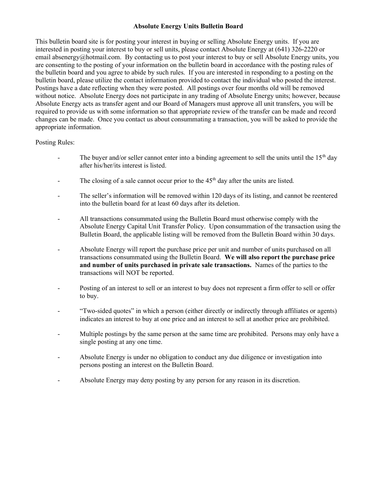### Absolute Energy Units Bulletin Board

This bulletin board site is for posting your interest in buying or selling Absolute Energy units. If you are interested in posting your interest to buy or sell units, please contact Absolute Energy at (641) 326-2220 or email absenergy@hotmail.com. By contacting us to post your interest to buy or sell Absolute Energy units, you are consenting to the posting of your information on the bulletin board in accordance with the posting rules of the bulletin board and you agree to abide by such rules. If you are interested in responding to a posting on the bulletin board, please utilize the contact information provided to contact the individual who posted the interest. Postings have a date reflecting when they were posted. All postings over four months old will be removed without notice. Absolute Energy does not participate in any trading of Absolute Energy units; however, because Absolute Energy acts as transfer agent and our Board of Managers must approve all unit transfers, you will be required to provide us with some information so that appropriate review of the transfer can be made and record changes can be made. Once you contact us about consummating a transaction, you will be asked to provide the appropriate information.

## Posting Rules:

- The buyer and/or seller cannot enter into a binding agreement to sell the units until the 15<sup>th</sup> day after his/her/its interest is listed.
- The closing of a sale cannot occur prior to the 45<sup>th</sup> day after the units are listed.
- The seller's information will be removed within 120 days of its listing, and cannot be reentered into the bulletin board for at least 60 days after its deletion.
- All transactions consummated using the Bulletin Board must otherwise comply with the Absolute Energy Capital Unit Transfer Policy. Upon consummation of the transaction using the Bulletin Board, the applicable listing will be removed from the Bulletin Board within 30 days.
- Absolute Energy will report the purchase price per unit and number of units purchased on all transactions consummated using the Bulletin Board. We will also report the purchase price and number of units purchased in private sale transactions. Names of the parties to the transactions will NOT be reported.
- Posting of an interest to sell or an interest to buy does not represent a firm offer to sell or offer to buy.
- "Two-sided quotes" in which a person (either directly or indirectly through affiliates or agents) indicates an interest to buy at one price and an interest to sell at another price are prohibited.
- Multiple postings by the same person at the same time are prohibited. Persons may only have a single posting at any one time.
- Absolute Energy is under no obligation to conduct any due diligence or investigation into persons posting an interest on the Bulletin Board.
- Absolute Energy may deny posting by any person for any reason in its discretion.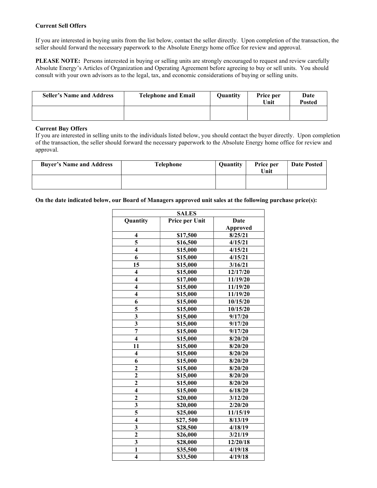#### Current Sell Offers

If you are interested in buying units from the list below, contact the seller directly. Upon completion of the transaction, the seller should forward the necessary paperwork to the Absolute Energy home office for review and approval.

PLEASE NOTE: Persons interested in buying or selling units are strongly encouraged to request and review carefully Absolute Energy's Articles of Organization and Operating Agreement before agreeing to buy or sell units. You should consult with your own advisors as to the legal, tax, and economic considerations of buying or selling units.

| <b>Seller's Name and Address</b> | <b>Telephone and Email</b> | <b>Quantity</b> | Price per<br>Unit | Date<br>Posted |
|----------------------------------|----------------------------|-----------------|-------------------|----------------|
|                                  |                            |                 |                   |                |

#### Current Buy Offers

If you are interested in selling units to the individuals listed below, you should contact the buyer directly. Upon completion of the transaction, the seller should forward the necessary paperwork to the Absolute Energy home office for review and approval.

| <b>Buyer's Name and Address</b> | <b>Telephone</b> | Quantity | Price per<br>Unit | <b>Date Posted</b> |
|---------------------------------|------------------|----------|-------------------|--------------------|
|                                 |                  |          |                   |                    |

On the date indicated below, our Board of Managers approved unit sales at the following purchase price(s):

| <b>SALES</b>            |                |                 |
|-------------------------|----------------|-----------------|
| Quantity                | Price per Unit | Date            |
|                         |                | <b>Approved</b> |
| 4                       | \$17,500       | 8/25/21         |
| 5                       | \$16,500       | 4/15/21         |
| $\overline{\mathbf{4}}$ | \$15,000       | 4/15/21         |
| 6                       | \$15,000       | 4/15/21         |
| 15                      | \$15,000       | 3/16/21         |
| 4                       | \$15,000       | 12/17/20        |
| $\overline{\mathbf{4}}$ | \$17,000       | 11/19/20        |
| $\overline{\mathbf{4}}$ | \$15,000       | 11/19/20        |
| $\overline{\mathbf{4}}$ | \$15,000       | 11/19/20        |
| 6                       | \$15,000       | 10/15/20        |
| 5                       | \$15,000       | 10/15/20        |
| $\overline{\mathbf{3}}$ | \$15,000       | 9/17/20         |
| $\overline{\mathbf{3}}$ | \$15,000       | 9/17/20         |
| $\overline{7}$          | \$15,000       | 9/17/20         |
| $\overline{\mathbf{4}}$ | \$15,000       | 8/20/20         |
| 11                      | \$15,000       | 8/20/20         |
| 4                       | \$15,000       | 8/20/20         |
| 6                       | \$15,000       | 8/20/20         |
| $\overline{2}$          | \$15,000       | 8/20/20         |
| $\overline{\mathbf{c}}$ | \$15,000       | 8/20/20         |
| $\overline{2}$          | \$15,000       | 8/20/20         |
| $\overline{\mathbf{4}}$ | \$15,000       | 6/18/20         |
| $\overline{\mathbf{c}}$ | \$20,000       | 3/12/20         |
| $\frac{3}{5}$           | \$20,000       | 2/20/20         |
|                         | \$25,000       | 11/15/19        |
| $\overline{\mathbf{4}}$ | \$27,500       | 8/13/19         |
| 3                       | \$28,500       | 4/18/19         |
| $\overline{\mathbf{c}}$ | \$26,000       | 3/21/19         |
| $\overline{\mathbf{3}}$ | \$28,000       | 12/20/18        |
| $\mathbf{1}$            | \$35,500       | 4/19/18         |
| $\overline{\mathbf{4}}$ | \$33,500       | 4/19/18         |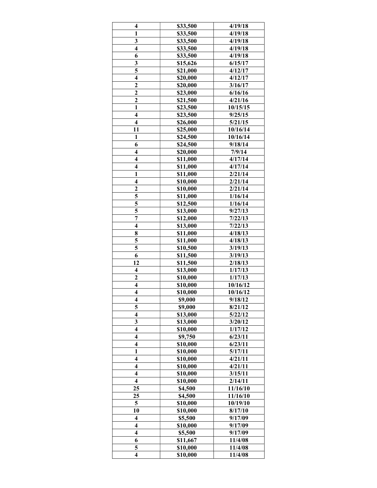| $\overline{\mathbf{4}}$              | \$33,500             | 4/19/18  |
|--------------------------------------|----------------------|----------|
| $\mathbf{1}$                         | \$33,500             | 4/19/18  |
| 3                                    | \$33,500             | 4/19/18  |
| $\overline{4}$                       | \$33,500             | 4/19/18  |
| 6                                    | \$33,500             | 4/19/18  |
| 3                                    | \$15,626             | 6/15/17  |
| $\overline{\overline{\overline{5}}}$ | \$21,000             | 4/12/17  |
| $\overline{4}$                       | \$20,000             | 4/12/17  |
| $\overline{c}$                       | \$20,000             | 3/16/17  |
| $\overline{2}$                       | \$23,000             | 6/16/16  |
| $\overline{2}$                       | \$21,500             | 4/21/16  |
| $\overline{\mathbf{1}}$              | \$23,500             | 10/15/15 |
| $\overline{\mathbf{4}}$              | \$23,500             | 9/25/15  |
| $\overline{\mathbf{4}}$              | \$26,000             | 5/21/15  |
| 11                                   | \$25,000             | 10/16/14 |
| $\mathbf{1}$                         | \$24,500             | 10/16/14 |
| 6                                    | \$24,500             | 9/18/14  |
| $\overline{\mathbf{4}}$              | \$20,000             | 7/9/14   |
| $\overline{\mathbf{4}}$              | \$11,000             | 4/17/14  |
| $\overline{\mathbf{4}}$              | \$11,000             | 4/17/14  |
| $\mathbf{1}$                         | \$11,000             | 2/21/14  |
| $\overline{\mathbf{4}}$              | \$10,000             | 2/21/14  |
| $\overline{c}$                       | \$10,000             | 2/21/14  |
| 5                                    |                      | 1/16/14  |
| 5                                    | \$11,000<br>\$12,500 |          |
| 5                                    |                      | 1/16/14  |
| $\overline{7}$                       | \$13,000             | 9/27/13  |
| $\overline{\mathbf{4}}$              | \$12,000             | 7/22/13  |
|                                      | \$13,000             | 7/22/13  |
| 8                                    | \$11,000             | 4/18/13  |
| 5                                    | \$11,000             | 4/18/13  |
| 5                                    | \$10,500             | 3/19/13  |
| 6                                    | \$11,500             | 3/19/13  |
| 12                                   | \$11,500             | 2/18/13  |
| $\overline{\mathbf{4}}$              | \$13,000             | 1/17/13  |
| $\overline{\mathbf{c}}$              | \$10,000             | 1/17/13  |
| $\overline{\mathbf{4}}$              | \$10,000             | 10/16/12 |
| $\overline{\mathbf{4}}$              | \$10,000             | 10/16/12 |
| 4                                    | \$9,000              | 9/18/12  |
| 5                                    | \$9,000              | 8/21/12  |
| $\overline{\mathbf{4}}$              | \$13,000             | 5/22/12  |
| 3                                    | \$13,000             | 3/20/12  |
| $\overline{\mathbf{4}}$              | \$10,000             | 1/17/12  |
| $\overline{\mathbf{4}}$              | \$9,750              | 6/23/11  |
| $\overline{\mathbf{4}}$              | \$10,000             | 6/23/11  |
| $\mathbf{1}$                         | \$10,000             | 5/17/11  |
| $\overline{\mathbf{4}}$              | \$10,000             | 4/21/11  |
| $\overline{\mathbf{4}}$              | \$10,000             | 4/21/11  |
| $\overline{\mathbf{4}}$              | \$10,000             | 3/15/11  |
| $\overline{\mathbf{4}}$              | \$10,000             | 2/14/11  |
| 25                                   | \$4,500              | 11/16/10 |
| 25                                   | \$4,500              | 11/16/10 |
| 5                                    | \$10,000             | 10/19/10 |
| 10                                   | \$10,000             | 8/17/10  |
| $\overline{\mathbf{4}}$              | \$5,500              | 9/17/09  |
| $\overline{\mathbf{4}}$              | \$10,000             | 9/17/09  |
| $\overline{\mathbf{4}}$              | \$5,500              | 9/17/09  |
| 6                                    | \$11,667             | 11/4/08  |
| 5                                    | \$10,000             | 11/4/08  |
| $\overline{\mathbf{4}}$              | \$10,000             | 11/4/08  |